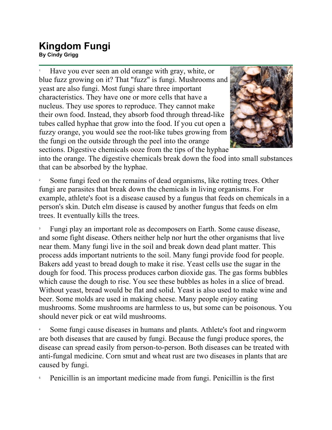## **Kingdom Fungi By Cindy Grigg**<br>By Cindy Grigg

1 Have you ever seen an old orange with gray, white, or blue fuzz growing on it? That "fuzz" is fungi. Mushrooms and yeast are also fungi. Most fungi share three important characteristics. They have one or more cells that have a nucleus. They use spores to reproduce. They cannot make their own food. Instead, they absorb food through thread-like tubes called hyphae that grow into the food. If you cut open a fuzzy orange, you would see the root-like tubes growing from the fungi on the outside through the peel into the orange sections. Digestive chemicals ooze from the tips of the hyphae



into the orange. The digestive chemicals break down the food into small substances that can be absorbed by the hyphae.

2 Some fungi feed on the remains of dead organisms, like rotting trees. Other fungi are parasites that break down the chemicals in living organisms. For example, athlete's foot is a disease caused by a fungus that feeds on chemicals in a person's skin. Dutch elm disease is caused by another fungus that feeds on elm trees. It eventually kills the trees.

3 Fungi play an important role as decomposers on Earth. Some cause disease, and some fight disease. Others neither help nor hurt the other organisms that live near them. Many fungi live in the soil and break down dead plant matter. This process adds important nutrients to the soil. Many fungi provide food for people. Bakers add yeast to bread dough to make it rise. Yeast cells use the sugar in the dough for food. This process produces carbon dioxide gas. The gas forms bubbles which cause the dough to rise. You see these bubbles as holes in a slice of bread. Without yeast, bread would be flat and solid. Yeast is also used to make wine and beer. Some molds are used in making cheese. Many people enjoy eating mushrooms. Some mushrooms are harmless to us, but some can be poisonous. You should never pick or eat wild mushrooms.

4 Some fungi cause diseases in humans and plants. Athlete's foot and ringworm are both diseases that are caused by fungi. Because the fungi produce spores, the disease can spread easily from person-to-person. Both diseases can be treated with anti-fungal medicine. Corn smut and wheat rust are two diseases in plants that are caused by fungi.

5 Penicillin is an important medicine made from fungi. Penicillin is the first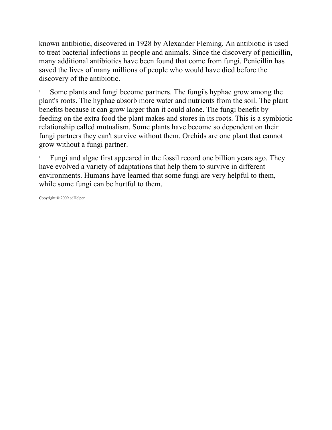known antibiotic, discovered in 1928 by Alexander Fleming. An antibiotic is used to treat bacterial infections in people and animals. Since the discovery of penicillin, many additional antibiotics have been found that come from fungi. Penicillin has saved the lives of many millions of people who would have died before the discovery of the antibiotic.

6 Some plants and fungi become partners. The fungi's hyphae grow among the plant's roots. The hyphae absorb more water and nutrients from the soil. The plant benefits because it can grow larger than it could alone. The fungi benefit by feeding on the extra food the plant makes and stores in its roots. This is a symbiotic relationship called mutualism. Some plants have become so dependent on their fungi partners they can't survive without them. Orchids are one plant that cannot grow without a fungi partner.

7 Fungi and algae first appeared in the fossil record one billion years ago. They have evolved a variety of adaptations that help them to survive in different environments. Humans have learned that some fungi are very helpful to them, while some fungi can be hurtful to them.

Copyright © 2009 edHelper